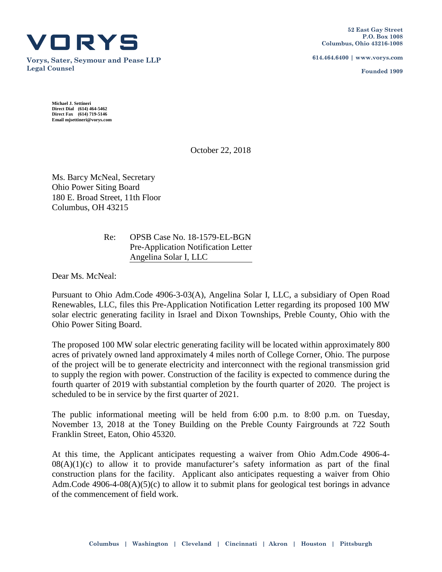

**Vorys, Sater, Seymour and Pease LLP Legal Counsel**

**614.464.6400 | www.vorys.com**

**Founded 1909**

**Michael J. Settineri Direct Dial (614) 464-5462 Direct Fax (614) 719-5146 Email mjsettineri@vorys.com** 

October 22, 2018

Ms. Barcy McNeal, Secretary Ohio Power Siting Board 180 E. Broad Street, 11th Floor Columbus, OH 43215

> Re: OPSB Case No. 18-1579-EL-BGN Pre-Application Notification Letter Angelina Solar I, LLC

Dear Ms. McNeal:

Pursuant to Ohio Adm.Code 4906-3-03(A), Angelina Solar I, LLC, a subsidiary of Open Road Renewables, LLC, files this Pre-Application Notification Letter regarding its proposed 100 MW solar electric generating facility in Israel and Dixon Townships, Preble County, Ohio with the Ohio Power Siting Board.

The proposed 100 MW solar electric generating facility will be located within approximately 800 acres of privately owned land approximately 4 miles north of College Corner, Ohio. The purpose of the project will be to generate electricity and interconnect with the regional transmission grid to supply the region with power. Construction of the facility is expected to commence during the fourth quarter of 2019 with substantial completion by the fourth quarter of 2020. The project is scheduled to be in service by the first quarter of 2021.

The public informational meeting will be held from 6:00 p.m. to 8:00 p.m. on Tuesday, November 13, 2018 at the Toney Building on the Preble County Fairgrounds at 722 South Franklin Street, Eaton, Ohio 45320.

At this time, the Applicant anticipates requesting a waiver from Ohio Adm.Code 4906-4-  $08(A)(1)(c)$  to allow it to provide manufacturer's safety information as part of the final construction plans for the facility. Applicant also anticipates requesting a waiver from Ohio Adm.Code  $4906-4-08(A)(5)(c)$  to allow it to submit plans for geological test borings in advance of the commencement of field work.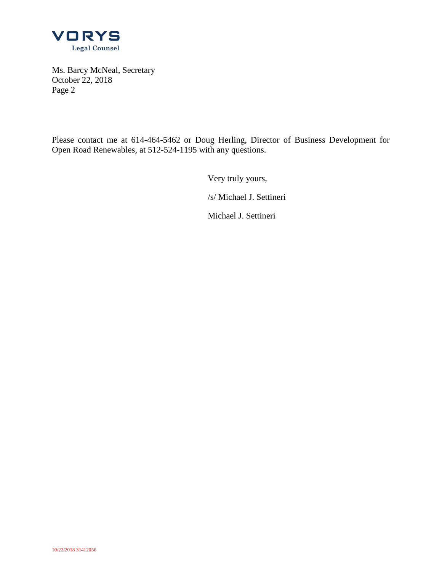

Ms. Barcy McNeal, Secretary October 22, 2018 Page 2

Please contact me at 614-464-5462 or Doug Herling, Director of Business Development for Open Road Renewables, at 512-524-1195 with any questions.

Very truly yours,

/s/ Michael J. Settineri

Michael J. Settineri